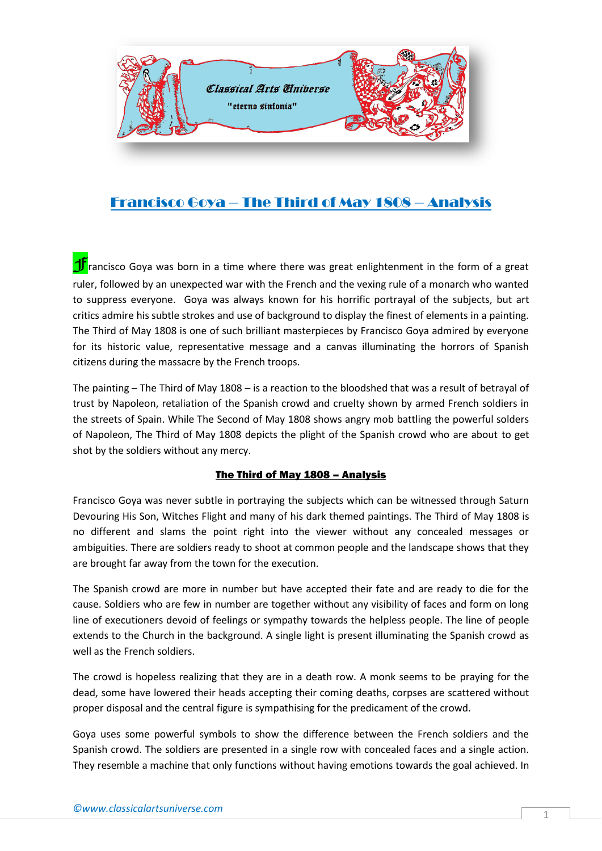

## Francisco Goya – The Third of May 1808 – Analysis

**T** rancisco Goya was born in a time where there was great enlightenment in the form of a great ruler, followed by an unexpected war with the French and the vexing rule of a monarch who wanted to suppress everyone. Goya was always known for his horrific portrayal of the subjects, but art critics admire his subtle strokes and use of background to display the finest of elements in a painting. The Third of May 1808 is one of such brilliant masterpieces by Francisco Goya admired by everyone for its historic value, representative message and a canvas illuminating the horrors of Spanish citizens during the massacre by the French troops.

The painting – The Third of May 1808 – is a reaction to the bloodshed that was a result of betrayal of trust by Napoleon, retaliation of the Spanish crowd and cruelty shown by armed French soldiers in the streets of Spain. While The Second of May 1808 shows angry mob battling the powerful solders of Napoleon, The Third of May 1808 depicts the plight of the Spanish crowd who are about to get shot by the soldiers without any mercy.

## The Third of May 1808 – Analysis

Francisco Goya was never subtle in portraying the subjects which can be witnessed through Saturn Devouring His Son, Witches Flight and many of his dark themed paintings. The Third of May 1808 is no different and slams the point right into the viewer without any concealed messages or ambiguities. There are soldiers ready to shoot at common people and the landscape shows that they are brought far away from the town for the execution.

The Spanish crowd are more in number but have accepted their fate and are ready to die for the cause. Soldiers who are few in number are together without any visibility of faces and form on long line of executioners devoid of feelings or sympathy towards the helpless people. The line of people extends to the Church in the background. A single light is present illuminating the Spanish crowd as well as the French soldiers.

The crowd is hopeless realizing that they are in a death row. A monk seems to be praying for the dead, some have lowered their heads accepting their coming deaths, corpses are scattered without proper disposal and the central figure is sympathising for the predicament of the crowd.

Goya uses some powerful symbols to show the difference between the French soldiers and the Spanish crowd. The soldiers are presented in a single row with concealed faces and a single action. They resemble a machine that only functions without having emotions towards the goal achieved. In